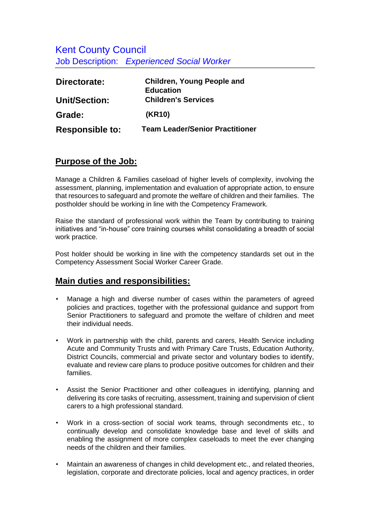Kent County Council Job Description: *Experienced Social Worker* 

| Directorate:           | <b>Children, Young People and</b><br><b>Education</b> |
|------------------------|-------------------------------------------------------|
|                        |                                                       |
| <b>Unit/Section:</b>   | <b>Children's Services</b>                            |
| Grade:                 | (KR10)                                                |
| <b>Responsible to:</b> | <b>Team Leader/Senior Practitioner</b>                |

## **Purpose of the Job:**

Manage a Children & Families caseload of higher levels of complexity, involving the assessment, planning, implementation and evaluation of appropriate action, to ensure that resources to safeguard and promote the welfare of children and their families. The postholder should be working in line with the Competency Framework.

Raise the standard of professional work within the Team by contributing to training initiatives and "in-house" core training courses whilst consolidating a breadth of social work practice.

Post holder should be working in line with the competency standards set out in the Competency Assessment Social Worker Career Grade.

## **Main duties and responsibilities:**

- Manage a high and diverse number of cases within the parameters of agreed policies and practices, together with the professional guidance and support from Senior Practitioners to safeguard and promote the welfare of children and meet their individual needs.
- Work in partnership with the child, parents and carers, Health Service including Acute and Community Trusts and with Primary Care Trusts, Education Authority, District Councils, commercial and private sector and voluntary bodies to identify, evaluate and review care plans to produce positive outcomes for children and their families.
- Assist the Senior Practitioner and other colleagues in identifying, planning and delivering its core tasks of recruiting, assessment, training and supervision of client carers to a high professional standard.
- Work in a cross-section of social work teams, through secondments etc., to continually develop and consolidate knowledge base and level of skills and enabling the assignment of more complex caseloads to meet the ever changing needs of the children and their families.
- Maintain an awareness of changes in child development etc., and related theories, legislation, corporate and directorate policies, local and agency practices, in order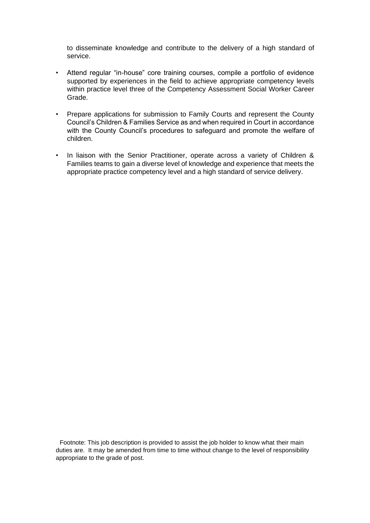to disseminate knowledge and contribute to the delivery of a high standard of service.

- Attend regular "in-house" core training courses, compile a portfolio of evidence supported by experiences in the field to achieve appropriate competency levels within practice level three of the Competency Assessment Social Worker Career Grade.
- Prepare applications for submission to Family Courts and represent the County Council's Children & Families Service as and when required in Court in accordance with the County Council's procedures to safeguard and promote the welfare of children.
- In liaison with the Senior Practitioner, operate across a variety of Children & Families teams to gain a diverse level of knowledge and experience that meets the appropriate practice competency level and a high standard of service delivery.

Footnote: This job description is provided to assist the job holder to know what their main duties are. It may be amended from time to time without change to the level of responsibility appropriate to the grade of post.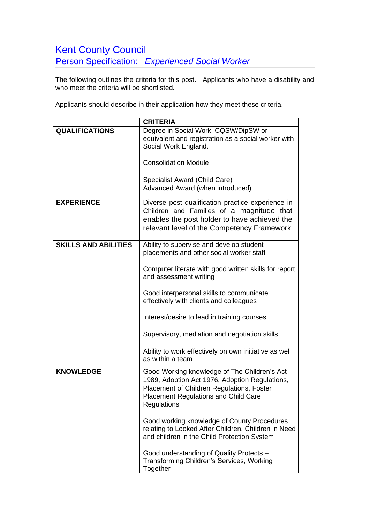## Kent County Council Person Specification: *Experienced Social Worker*

The following outlines the criteria for this post. Applicants who have a disability and who meet the criteria will be shortlisted.

Applicants should describe in their application how they meet these criteria.

|                             | <b>CRITERIA</b>                                                                                                                                                                                    |
|-----------------------------|----------------------------------------------------------------------------------------------------------------------------------------------------------------------------------------------------|
| <b>QUALIFICATIONS</b>       | Degree in Social Work, CQSW/DipSW or<br>equivalent and registration as a social worker with<br>Social Work England.                                                                                |
|                             | <b>Consolidation Module</b>                                                                                                                                                                        |
|                             | Specialist Award (Child Care)<br>Advanced Award (when introduced)                                                                                                                                  |
| <b>EXPERIENCE</b>           | Diverse post qualification practice experience in<br>Children and Families of a magnitude that<br>enables the post holder to have achieved the<br>relevant level of the Competency Framework       |
| <b>SKILLS AND ABILITIES</b> | Ability to supervise and develop student<br>placements and other social worker staff                                                                                                               |
|                             | Computer literate with good written skills for report<br>and assessment writing                                                                                                                    |
|                             | Good interpersonal skills to communicate<br>effectively with clients and colleagues                                                                                                                |
|                             | Interest/desire to lead in training courses                                                                                                                                                        |
|                             | Supervisory, mediation and negotiation skills                                                                                                                                                      |
|                             | Ability to work effectively on own initiative as well<br>as within a team                                                                                                                          |
| <b>KNOWLEDGE</b>            | Good Working knowledge of The Children's Act<br>1989, Adoption Act 1976, Adoption Regulations,<br>Placement of Children Regulations, Foster<br>Placement Regulations and Child Care<br>Regulations |
|                             | Good working knowledge of County Procedures<br>relating to Looked After Children, Children in Need<br>and children in the Child Protection System                                                  |
|                             | Good understanding of Quality Protects -<br>Transforming Children's Services, Working<br>Together                                                                                                  |